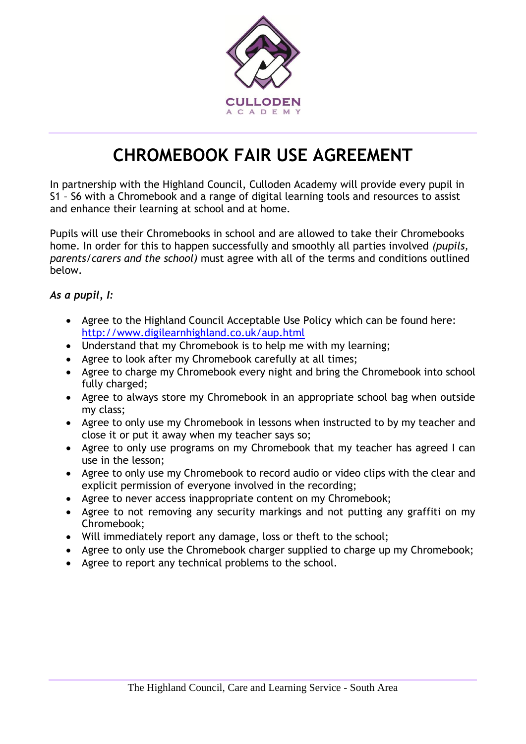

## **CHROMEBOOK FAIR USE AGREEMENT**

In partnership with the Highland Council, Culloden Academy will provide every pupil in S1 – S6 with a Chromebook and a range of digital learning tools and resources to assist and enhance their learning at school and at home.

Pupils will use their Chromebooks in school and are allowed to take their Chromebooks home. In order for this to happen successfully and smoothly all parties involved *(pupils, parents/carers and the school)* must agree with all of the terms and conditions outlined below.

*As a pupil, I:*

- Agree to the Highland Council Acceptable Use Policy which can be found here: <http://www.digilearnhighland.co.uk/aup.html>
- Understand that my Chromebook is to help me with my learning;
- Agree to look after my Chromebook carefully at all times;
- Agree to charge my Chromebook every night and bring the Chromebook into school fully charged;
- Agree to always store my Chromebook in an appropriate school bag when outside my class;
- Agree to only use my Chromebook in lessons when instructed to by my teacher and close it or put it away when my teacher says so;
- Agree to only use programs on my Chromebook that my teacher has agreed I can use in the lesson;
- Agree to only use my Chromebook to record audio or video clips with the clear and explicit permission of everyone involved in the recording;
- Agree to never access inappropriate content on my Chromebook;
- Agree to not removing any security markings and not putting any graffiti on my Chromebook;
- Will immediately report any damage, loss or theft to the school;
- Agree to only use the Chromebook charger supplied to charge up my Chromebook;
- Agree to report any technical problems to the school.